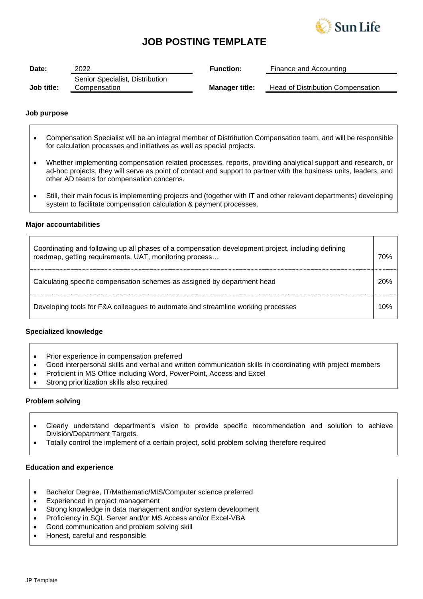

# **JOB POSTING TEMPLATE**

| Date:      | 2022                            | <b>Function:</b>      | Finance and Accounting                   |
|------------|---------------------------------|-----------------------|------------------------------------------|
|            | Senior Specialist, Distribution |                       |                                          |
| Job title: | Compensation                    | <b>Manager title:</b> | <b>Head of Distribution Compensation</b> |

### **Job purpose**

- Compensation Specialist will be an integral member of Distribution Compensation team, and will be responsible for calculation processes and initiatives as well as special projects.
- Whether implementing compensation related processes, reports, providing analytical support and research, or ad-hoc projects, they will serve as point of contact and support to partner with the business units, leaders, and other AD teams for compensation concerns.
- Still, their main focus is implementing projects and (together with IT and other relevant departments) developing system to facilitate compensation calculation & payment processes.

## **Major accountabilities**

*.*

| Coordinating and following up all phases of a compensation development project, including defining<br>roadmap, getting requirements, UAT, monitoring process | 70% |
|--------------------------------------------------------------------------------------------------------------------------------------------------------------|-----|
| Calculating specific compensation schemes as assigned by department head                                                                                     | 20% |
| Developing tools for F&A colleagues to automate and streamline working processes                                                                             | 10% |

## **Specialized knowledge**

- Prior experience in compensation preferred
- Good interpersonal skills and verbal and written communication skills in coordinating with project members
- Proficient in MS Office including Word, PowerPoint, Access and Excel
- Strong prioritization skills also required

#### **Problem solving**

- Clearly understand department's vision to provide specific recommendation and solution to achieve Division/Department Targets.
- Totally control the implement of a certain project, solid problem solving therefore required

#### **Education and experience**

- Bachelor Degree, IT/Mathematic/MIS/Computer science preferred
- Experienced in project management
- Strong knowledge in data management and/or system development
- Proficiency in SQL Server and/or MS Access and/or Excel-VBA
- Good communication and problem solving skill
- Honest, careful and responsible